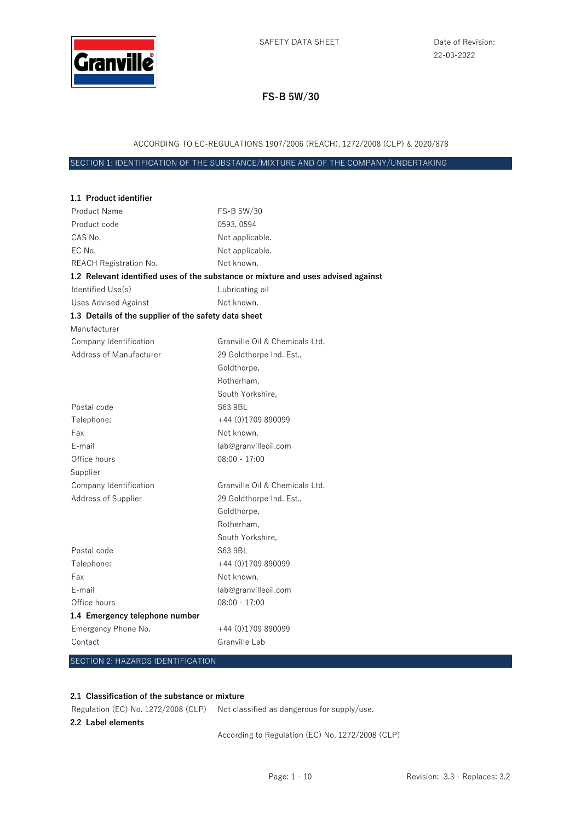

### ACCORDING TO EC-REGULATIONS 1907/2006 (REACH), 1272/2008 (CLP) & 2020/878

SECTION 1: IDENTIFICATION OF THE SUBSTANCE/MIXTURE AND OF THE COMPANY/UNDERTAKING

| 1.1 Product identifier                               |                                                                                   |
|------------------------------------------------------|-----------------------------------------------------------------------------------|
| Product Name                                         | FS-B 5W/30                                                                        |
| Product code                                         | 0593, 0594                                                                        |
| CAS No.                                              | Not applicable.                                                                   |
| EC No.                                               | Not applicable.                                                                   |
| <b>REACH Registration No.</b>                        | Not known.                                                                        |
|                                                      | 1.2 Relevant identified uses of the substance or mixture and uses advised against |
| Identified Use(s)                                    | Lubricating oil                                                                   |
| Uses Advised Against                                 | Not known.                                                                        |
| 1.3 Details of the supplier of the safety data sheet |                                                                                   |
| Manufacturer                                         |                                                                                   |
| Company Identification                               | Granville Oil & Chemicals Ltd.                                                    |
| <b>Address of Manufacturer</b>                       | 29 Goldthorpe Ind. Est.,                                                          |
|                                                      | Goldthorpe,                                                                       |
|                                                      | Rotherham.                                                                        |
|                                                      | South Yorkshire.                                                                  |
| Postal code                                          | S63 9BL                                                                           |
| Telephone:                                           | $+44(0)1709890099$                                                                |
| Fax                                                  | Not known.                                                                        |
| E-mail                                               | lab@granvilleoil.com                                                              |
| Office hours                                         | $08:00 - 17:00$                                                                   |
| Supplier                                             |                                                                                   |
| Company Identification                               | Granville Oil & Chemicals Ltd.                                                    |
| Address of Supplier                                  | 29 Goldthorpe Ind. Est.,                                                          |
|                                                      | Goldthorpe,                                                                       |
|                                                      | Rotherham.                                                                        |
|                                                      | South Yorkshire,                                                                  |
| Postal code                                          | S63 9BL                                                                           |
| Telephone:                                           | +44 (0)1709 890099                                                                |
| Fax                                                  | Not known.                                                                        |
| E-mail                                               | lab@granvilleoil.com                                                              |
| Office hours                                         | $08:00 - 17:00$                                                                   |
| 1.4 Emergency telephone number                       |                                                                                   |
| Emergency Phone No.                                  | +44 (0)1709 890099                                                                |
| Contact                                              | Granville Lab                                                                     |
|                                                      |                                                                                   |

## SECTION 2: HAZARDS IDENTIFICATION

#### **2.1 Classification of the substance or mixture**

Regulation (EC) No. 1272/2008 (CLP) Not classified as dangerous for supply/use. **2.2 Label elements** 

According to Regulation (EC) No. 1272/2008 (CLP)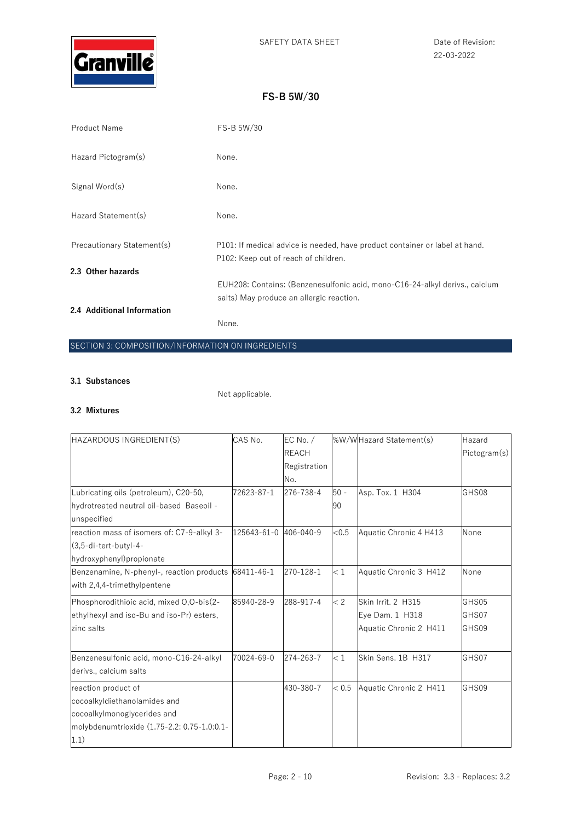

| <b>Product Name</b>        | FS-B 5W/30                                                                                                          |
|----------------------------|---------------------------------------------------------------------------------------------------------------------|
| Hazard Pictogram(s)        | None.                                                                                                               |
| Signal Word(s)             | None.                                                                                                               |
| Hazard Statement(s)        | None.                                                                                                               |
| Precautionary Statement(s) | P101: If medical advice is needed, have product container or label at hand.<br>P102: Keep out of reach of children. |
| 2.3 Other hazards          |                                                                                                                     |
|                            | EUH208: Contains: (Benzenesulfonic acid, mono-C16-24-alkyl derivs., calcium                                         |
|                            | salts) May produce an allergic reaction.                                                                            |
| 2.4 Additional Information |                                                                                                                     |
|                            | None.                                                                                                               |

## SECTION 3: COMPOSITION/INFORMATION ON INGREDIENTS

### **3.1 Substances**

Not applicable.

### **3.2 Mixtures**

| HAZARDOUS INGREDIENT(S)                     | CAS No.               | EC No. $/$   |        | %W/WHazard Statement(s) | Hazard       |
|---------------------------------------------|-----------------------|--------------|--------|-------------------------|--------------|
|                                             |                       | <b>REACH</b> |        |                         | Pictogram(s) |
|                                             |                       | Registration |        |                         |              |
|                                             |                       | No.          |        |                         |              |
| Lubricating oils (petroleum), C20-50,       | 72623-87-1            | 276-738-4    | $50 -$ | Asp. Tox. 1 H304        | GHS08        |
| hydrotreated neutral oil-based Baseoil -    |                       |              | 90     |                         |              |
| unspecified                                 |                       |              |        |                         |              |
| reaction mass of isomers of: C7-9-alkyl 3-  | 125643-61-0 406-040-9 |              | < 0.5  | Aquatic Chronic 4 H413  | None         |
| $(3,5$ -di-tert-butyl-4-                    |                       |              |        |                         |              |
| hydroxyphenyl) propionate                   |                       |              |        |                         |              |
| Benzenamine, N-phenyl-, reaction products   | 68411-46-1            | 270-128-1    | < 1    | Aquatic Chronic 3 H412  | None         |
| with 2,4,4-trimethylpentene                 |                       |              |        |                         |              |
| Phosphorodithioic acid, mixed O,O-bis(2-    | 85940-28-9            | 288-917-4    | < 2    | Skin Irrit. 2 H315      | GHS05        |
| ethylhexyl and iso-Bu and iso-Pr) esters,   |                       |              |        | Eye Dam. 1 H318         | GHS07        |
| zinc salts                                  |                       |              |        | Aquatic Chronic 2 H411  | GHS09        |
|                                             |                       |              |        |                         |              |
| Benzenesulfonic acid, mono-C16-24-alkyl     | 70024-69-0            | 274-263-7    | < 1    | Skin Sens. 1B H317      | GHS07        |
| derivs., calcium salts                      |                       |              |        |                         |              |
| reaction product of                         |                       | 430-380-7    | < 0.5  | Aquatic Chronic 2 H411  | GHS09        |
| cocoalkyldiethanolamides and                |                       |              |        |                         |              |
| cocoalkylmonoglycerides and                 |                       |              |        |                         |              |
| molybdenumtrioxide (1.75-2.2: 0.75-1.0:0.1- |                       |              |        |                         |              |
| 1.1)                                        |                       |              |        |                         |              |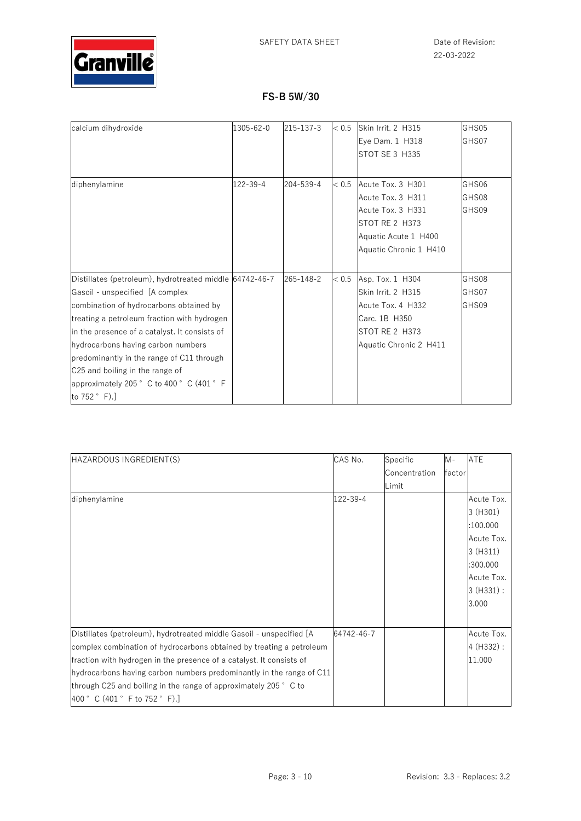

| calcium dihydroxide                                     | 1305-62-0 | 215-137-3 | < 0.5 | Skin Irrit. 2 H315     | GHS05 |
|---------------------------------------------------------|-----------|-----------|-------|------------------------|-------|
|                                                         |           |           |       | Eye Dam. 1 H318        | GHS07 |
|                                                         |           |           |       | STOT SE 3 H335         |       |
|                                                         |           |           |       |                        |       |
| diphenylamine                                           | 122-39-4  | 204-539-4 | < 0.5 | Acute Tox. 3 H301      | GHS06 |
|                                                         |           |           |       | Acute Tox. 3 H311      | GHS08 |
|                                                         |           |           |       | Acute Tox. 3 H331      | GHS09 |
|                                                         |           |           |       | STOT RE 2 H373         |       |
|                                                         |           |           |       | Aquatic Acute 1 H400   |       |
|                                                         |           |           |       | Aquatic Chronic 1 H410 |       |
|                                                         |           |           |       |                        |       |
| Distillates (petroleum), hydrotreated middle 64742-46-7 |           | 265-148-2 | < 0.5 | Asp. Tox. 1 H304       | GHS08 |
| Gasoil - unspecified [A complex                         |           |           |       | Skin Irrit. 2 H315     | GHS07 |
| combination of hydrocarbons obtained by                 |           |           |       | Acute Tox. 4 H332      | GHS09 |
| treating a petroleum fraction with hydrogen             |           |           |       | Carc. 1B H350          |       |
| in the presence of a catalyst. It consists of           |           |           |       | STOT RE 2 H373         |       |
| hydrocarbons having carbon numbers                      |           |           |       | Aquatic Chronic 2 H411 |       |
| predominantly in the range of C11 through               |           |           |       |                        |       |
| C25 and boiling in the range of                         |           |           |       |                        |       |
| approximately 205° C to 400° C (401° F                  |           |           |       |                        |       |
| to 752 ° F).]                                           |           |           |       |                        |       |

| HAZARDOUS INGREDIENT(S)                                              | CAS No.    | Specific      | $M -$  | <b>ATE</b>  |
|----------------------------------------------------------------------|------------|---------------|--------|-------------|
|                                                                      |            | Concentration | factor |             |
|                                                                      |            | Limit         |        |             |
| diphenylamine                                                        | 122-39-4   |               |        | Acute Tox.  |
|                                                                      |            |               |        | 3 (H301)    |
|                                                                      |            |               |        | :100.000    |
|                                                                      |            |               |        | Acute Tox.  |
|                                                                      |            |               |        | 3(H311)     |
|                                                                      |            |               |        | :300.000    |
|                                                                      |            |               |        | Acute Tox.  |
|                                                                      |            |               |        | $3(H331)$ : |
|                                                                      |            |               |        | 3.000       |
|                                                                      |            |               |        |             |
| Distillates (petroleum), hydrotreated middle Gasoil - unspecified [A | 64742-46-7 |               |        | Acute Tox.  |
| complex combination of hydrocarbons obtained by treating a petroleum |            |               |        | 4 (H332) :  |
| fraction with hydrogen in the presence of a catalyst. It consists of |            |               |        | 11.000      |
| hydrocarbons having carbon numbers predominantly in the range of C11 |            |               |        |             |
| through C25 and boiling in the range of approximately 205 ° C to     |            |               |        |             |
| 400 ° C (401 ° F to 752 ° F).                                        |            |               |        |             |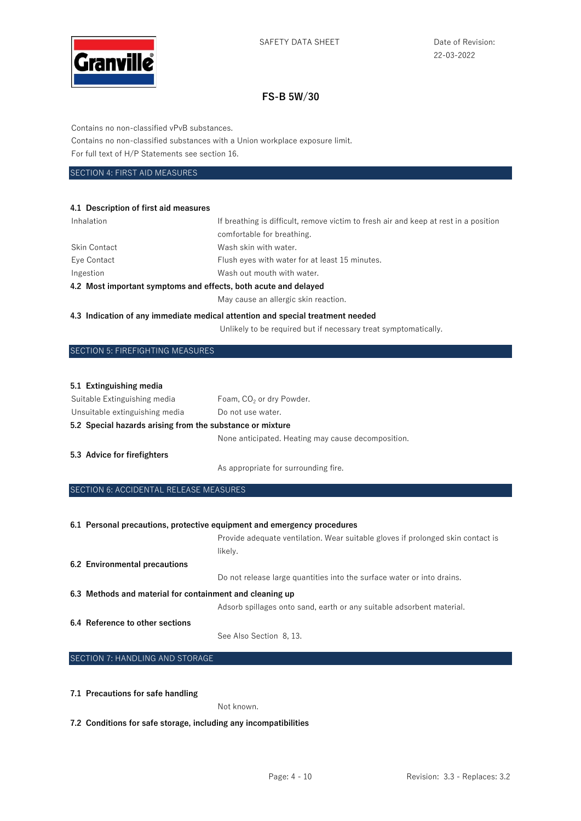

Contains no non-classified vPvB substances.

Contains no non-classified substances with a Union workplace exposure limit.

For full text of H/P Statements see section 16.

#### SECTION 4: FIRST AID MEASURES

#### **4.1 Description of first aid measures**

| Inhalation                                                      | If breathing is difficult, remove victim to fresh air and keep at rest in a position |
|-----------------------------------------------------------------|--------------------------------------------------------------------------------------|
|                                                                 | comfortable for breathing.                                                           |
| <b>Skin Contact</b>                                             | Wash skin with water.                                                                |
| Eye Contact                                                     | Flush eyes with water for at least 15 minutes.                                       |
| Ingestion                                                       | Wash out mouth with water.                                                           |
| 4.2 Most important symptoms and effects, both acute and delayed |                                                                                      |
|                                                                 | May cause an allergic skin reaction.                                                 |

#### **4.3 Indication of any immediate medical attention and special treatment needed**

Unlikely to be required but if necessary treat symptomatically.

### SECTION 5: FIREFIGHTING MEASURES

#### **5.1 Extinguishing media**

| Suitable Extinguishing media                              | Foam, CO <sub>2</sub> or dry Powder.               |
|-----------------------------------------------------------|----------------------------------------------------|
| Unsuitable extinguishing media                            | Do not use water.                                  |
| 5.2 Special hazards arising from the substance or mixture |                                                    |
|                                                           | None anticipated. Heating may cause decomposition. |
| 5.3 Advice for firefighters                               |                                                    |

As appropriate for surrounding fire.

#### SECTION 6: ACCIDENTAL RELEASE MEASURES

|                                                          | 6.1 Personal precautions, protective equipment and emergency procedures         |
|----------------------------------------------------------|---------------------------------------------------------------------------------|
|                                                          | Provide adequate ventilation. Wear suitable gloves if prolonged skin contact is |
|                                                          | likely.                                                                         |
| 6.2 Environmental precautions                            |                                                                                 |
|                                                          | Do not release large quantities into the surface water or into drains.          |
| 6.3 Methods and material for containment and cleaning up |                                                                                 |
|                                                          | Adsorb spillages onto sand, earth or any suitable adsorbent material.           |
| 6.4 Reference to other sections                          |                                                                                 |
|                                                          | See Also Section 8, 13.                                                         |

## SECTION 7: HANDLING AND STORAGE

#### **7.1 Precautions for safe handling**

Not known.

**7.2 Conditions for safe storage, including any incompatibilities**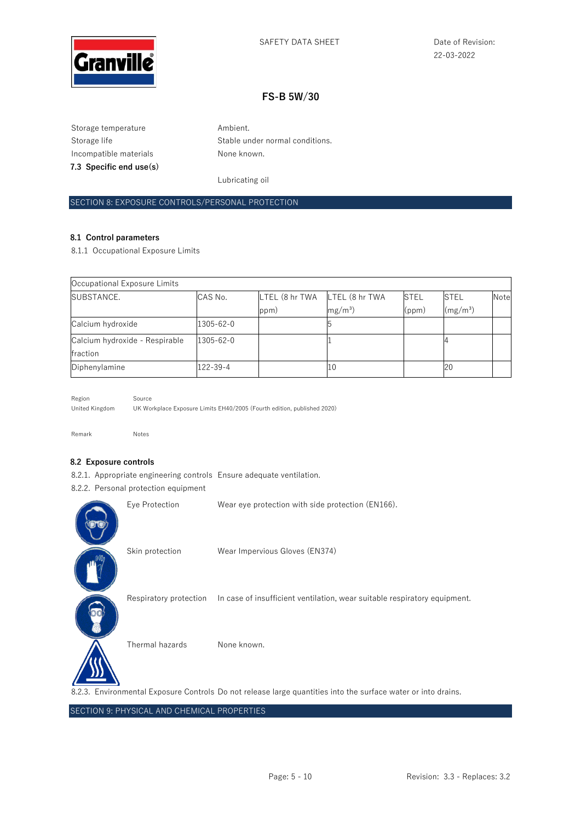

Storage temperature **Ambient.** Incompatible materials **None known**. **7.3 Specific end use(s)** 

Storage life Stable under normal conditions.

Lubricating oil

### SECTION 8: EXPOSURE CONTROLS/PERSONAL PROTECTION

#### **8.1 Control parameters**

8.1.1 Occupational Exposure Limits

| Occupational Exposure Limits   |                 |                               |            |             |                      |      |
|--------------------------------|-----------------|-------------------------------|------------|-------------|----------------------|------|
| <b>SUBSTANCE.</b>              | CAS No.         | LTEL (8 hr TWA LTEL (8 hr TWA |            | <b>STEL</b> | <b>STEL</b>          | Note |
|                                |                 | ppm)                          | $mg/m^3$ ) | (ppm)       | (mg/m <sup>3</sup> ) |      |
| Calcium hydroxide              | 1305-62-0       |                               |            |             |                      |      |
| Calcium hydroxide - Respirable | $1305 - 62 - 0$ |                               |            |             |                      |      |
| fraction                       |                 |                               |            |             |                      |      |
| Diphenylamine                  | 122-39-4        |                               | 10         |             | 20                   |      |

Region Source United Kingdom UK Workplace Exposure Limits EH40/2005 (Fourth edition, published 2020)

Remark Notes

#### **8.2 Exposure controls**

8.2.1. Appropriate engineering controls Ensure adequate ventilation.

8.2.2. Personal protection equipment

| Eye Protection  | Wear eye protection with side protection (EN166).                                                             |
|-----------------|---------------------------------------------------------------------------------------------------------------|
| Skin protection | Wear Impervious Gloves (EN374)                                                                                |
|                 | Respiratory protection In case of insufficient ventilation, wear suitable respiratory equipment.              |
| Thermal hazards | None known.                                                                                                   |
|                 | 8.2.3. Environmental Exposure Controls Do not release large quantities into the surface water or into drains. |

SECTION 9: PHYSICAL AND CHEMICAL PROPERTIES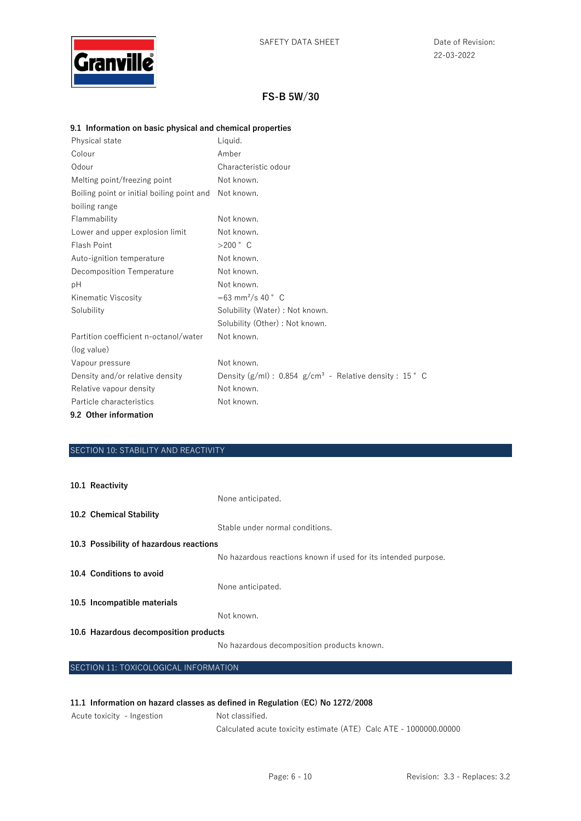

### **9.1 Information on basic physical and chemical properties**

| Physical state                             | Liquid.                                                    |
|--------------------------------------------|------------------------------------------------------------|
| Colour                                     | Amber                                                      |
| Odour                                      | Characteristic odour                                       |
| Melting point/freezing point               | Not known.                                                 |
| Boiling point or initial boiling point and | Not known.                                                 |
| boiling range                              |                                                            |
| Flammability                               | Not known.                                                 |
| Lower and upper explosion limit            | Not known.                                                 |
| Flash Point                                | $>200$ $\degree$ C                                         |
| Auto-ignition temperature                  | Not known.                                                 |
| Decomposition Temperature                  | Not known.                                                 |
| рH                                         | Not known.                                                 |
| Kinematic Viscosity                        | $= 63$ mm <sup>2</sup> /s 40 ° C                           |
| Solubility                                 | Solubility (Water) : Not known.                            |
|                                            | Solubility (Other) : Not known.                            |
| Partition coefficient n-octanol/water      | Not known.                                                 |
| (log value)                                |                                                            |
| Vapour pressure                            | Not known.                                                 |
| Density and/or relative density            | Density $(g/ml)$ : 0.854 $g/cm3$ - Relative density: 15° C |
| Relative vapour density                    | Not known.                                                 |
| Particle characteristics                   | Not known.                                                 |
| 9.2 Other information                      |                                                            |

### SECTION 10: STABILITY AND REACTIVITY

| 10.1 Reactivity                         |                                                                |
|-----------------------------------------|----------------------------------------------------------------|
|                                         | None anticipated.                                              |
| 10.2 Chemical Stability                 |                                                                |
|                                         | Stable under normal conditions.                                |
| 10.3 Possibility of hazardous reactions |                                                                |
|                                         | No hazardous reactions known if used for its intended purpose. |
| 10.4 Conditions to avoid                |                                                                |
|                                         | None anticipated.                                              |
| 10.5 Incompatible materials             |                                                                |
|                                         | Not known.                                                     |
| 10.6 Hazardous decomposition products   |                                                                |
|                                         |                                                                |

No hazardous decomposition products known.

SECTION 11: TOXICOLOGICAL INFORMATION

#### **11.1 Information on hazard classes as defined in Regulation (EC) No 1272/2008**

Acute toxicity - Ingestion Not classified.

Calculated acute toxicity estimate (ATE) Calc ATE - 1000000.00000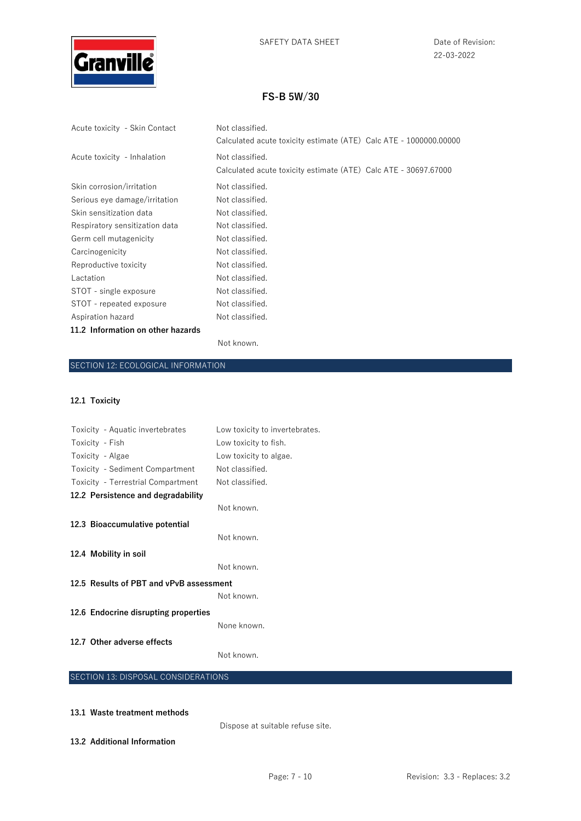

22-03-2022

## **FS-B 5W/30**

| Acute toxicity - Skin Contact     | Not classified.<br>Calculated acute toxicity estimate (ATE) Calc ATE - 1000000.00000 |  |
|-----------------------------------|--------------------------------------------------------------------------------------|--|
| Acute toxicity - Inhalation       | Not classified.                                                                      |  |
|                                   | Calculated acute toxicity estimate (ATE) Calc ATE - 30697.67000                      |  |
| Skin corrosion/irritation         | Not classified.                                                                      |  |
| Serious eye damage/irritation     | Not classified.                                                                      |  |
| Skin sensitization data           | Not classified.                                                                      |  |
| Respiratory sensitization data    | Not classified.                                                                      |  |
| Germ cell mutagenicity            | Not classified.                                                                      |  |
| Carcinogenicity                   | Not classified.                                                                      |  |
| Reproductive toxicity             | Not classified.                                                                      |  |
| Lactation                         | Not classified.                                                                      |  |
| STOT - single exposure            | Not classified.                                                                      |  |
| STOT - repeated exposure          | Not classified.                                                                      |  |
| Aspiration hazard                 | Not classified.                                                                      |  |
| 11.2 Information on other hazards |                                                                                      |  |
|                                   |                                                                                      |  |

#### Not known.

### SECTION 12: ECOLOGICAL INFORMATION

### **12.1 Toxicity**

| Toxicity - Aquatic invertebrates        | Low toxicity to invertebrates. |
|-----------------------------------------|--------------------------------|
| Toxicity - Fish                         | Low toxicity to fish.          |
| Toxicity - Algae                        | Low toxicity to algae.         |
| Toxicity - Sediment Compartment         | Not classified.                |
| Toxicity - Terrestrial Compartment      | Not classified.                |
| 12.2 Persistence and degradability      |                                |
|                                         | Not known.                     |
| 12.3 Bioaccumulative potential          |                                |
|                                         | Not known.                     |
| 12.4 Mobility in soil                   |                                |
|                                         | Not known.                     |
| 12.5 Results of PBT and vPvB assessment |                                |
|                                         | Not known.                     |
| 12.6 Endocrine disrupting properties    |                                |
|                                         | None known.                    |
| 12.7 Other adverse effects              |                                |
|                                         | Not known.                     |
|                                         |                                |

## SECTION 13: DISPOSAL CONSIDERATIONS

## **13.1 Waste treatment methods**

Dispose at suitable refuse site.

**13.2 Additional Information**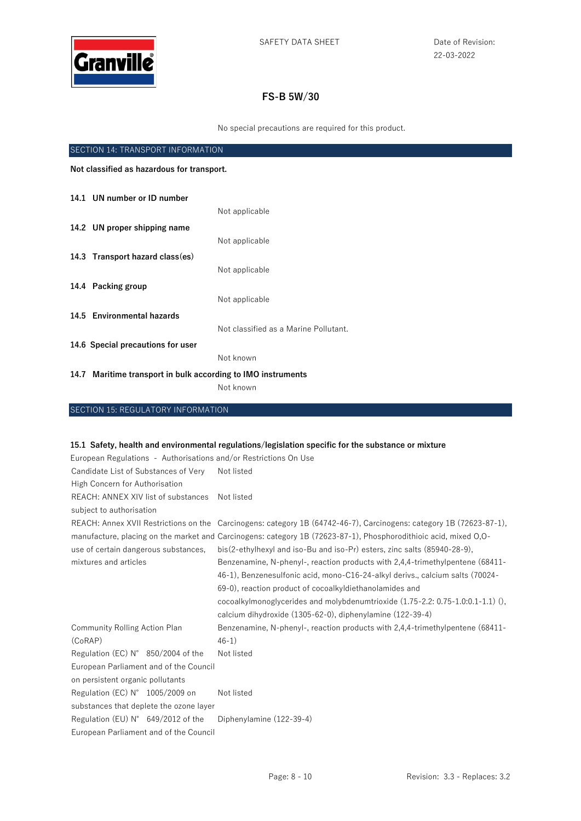

No special precautions are required for this product.

| SECTION 14: TRANSPORT INFORMATION          |                                                              |                                       |
|--------------------------------------------|--------------------------------------------------------------|---------------------------------------|
| Not classified as hazardous for transport. |                                                              |                                       |
|                                            | 14.1 UN number or ID number                                  |                                       |
|                                            |                                                              | Not applicable                        |
|                                            | 14.2 UN proper shipping name                                 |                                       |
|                                            |                                                              | Not applicable                        |
|                                            | 14.3 Transport hazard class(es)                              |                                       |
|                                            |                                                              | Not applicable                        |
|                                            | 14.4 Packing group                                           |                                       |
|                                            |                                                              | Not applicable                        |
|                                            | 14.5 Environmental hazards                                   |                                       |
|                                            |                                                              | Not classified as a Marine Pollutant. |
|                                            | 14.6 Special precautions for user                            |                                       |
|                                            |                                                              | Not known                             |
|                                            | 14.7 Maritime transport in bulk according to IMO instruments |                                       |
|                                            |                                                              | Not known                             |

# SECTION 15: REGULATORY INFORMATION

### **15.1 Safety, health and environmental regulations/legislation specific for the substance or mixture**

| European Regulations - Authorisations and/or Restrictions On Use |                                                                                                                     |  |
|------------------------------------------------------------------|---------------------------------------------------------------------------------------------------------------------|--|
| Candidate List of Substances of Very                             | Not listed                                                                                                          |  |
| High Concern for Authorisation                                   |                                                                                                                     |  |
| REACH: ANNEX XIV list of substances                              | Not listed                                                                                                          |  |
| subject to authorisation                                         |                                                                                                                     |  |
|                                                                  | REACH: Annex XVII Restrictions on the Carcinogens: category 1B (64742-46-7), Carcinogens: category 1B (72623-87-1), |  |
|                                                                  | manufacture, placing on the market and Carcinogens: category 1B (72623-87-1), Phosphorodithioic acid, mixed 0,0-    |  |
| use of certain dangerous substances,                             | bis(2-ethylhexyl and iso-Bu and iso-Pr) esters, zinc salts (85940-28-9),                                            |  |
| mixtures and articles                                            | Benzenamine, N-phenyl-, reaction products with 2,4,4-trimethylpentene (68411-                                       |  |
|                                                                  | 46-1), Benzenesulfonic acid, mono-C16-24-alkyl derivs., calcium salts (70024-                                       |  |
|                                                                  | 69-0), reaction product of cocoalkyldiethanolamides and                                                             |  |
|                                                                  | cocoalkylmonoglycerides and molybdenumtrioxide (1.75-2.2: 0.75-1.0:0.1-1.1) (),                                     |  |
|                                                                  | calcium dihydroxide (1305-62-0), diphenylamine (122-39-4)                                                           |  |
| <b>Community Rolling Action Plan</b>                             | Benzenamine, N-phenyl-, reaction products with 2,4,4-trimethylpentene (68411-                                       |  |
| (CoRAP)                                                          | $46-1)$                                                                                                             |  |
| Regulation (EC) N° 850/2004 of the                               | Not listed                                                                                                          |  |
| European Parliament and of the Council                           |                                                                                                                     |  |
| on persistent organic pollutants                                 |                                                                                                                     |  |
| Regulation (EC) N° 1005/2009 on                                  | Not listed                                                                                                          |  |
| substances that deplete the ozone layer                          |                                                                                                                     |  |
| Regulation (EU) N° 649/2012 of the                               | Diphenylamine (122-39-4)                                                                                            |  |
| European Parliament and of the Council                           |                                                                                                                     |  |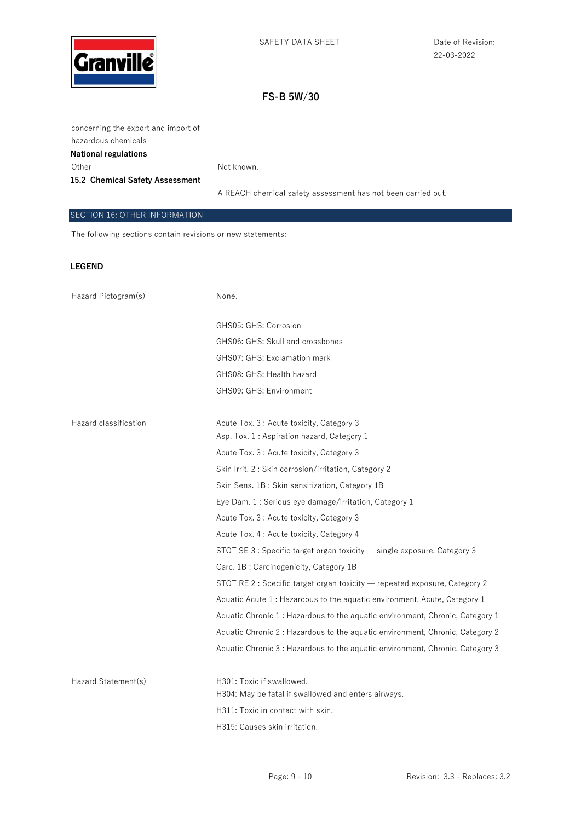

concerning the export and import of hazardous chemicals **National regulations**  Other Not known.

**15.2 Chemical Safety Assessment** 

A REACH chemical safety assessment has not been carried out.

### SECTION 16: OTHER INFORMATION

The following sections contain revisions or new statements:

### **LEGEND**

| Hazard Pictogram(s)   | None.                                                                         |
|-----------------------|-------------------------------------------------------------------------------|
|                       |                                                                               |
|                       | GHS05: GHS: Corrosion                                                         |
|                       | GHS06: GHS: Skull and crossbones                                              |
|                       | GHS07: GHS: Exclamation mark                                                  |
|                       | GHS08: GHS: Health hazard                                                     |
|                       | GHS09: GHS: Environment                                                       |
|                       |                                                                               |
| Hazard classification | Acute Tox. 3 : Acute toxicity, Category 3                                     |
|                       | Asp. Tox. 1: Aspiration hazard, Category 1                                    |
|                       | Acute Tox. 3 : Acute toxicity, Category 3                                     |
|                       | Skin Irrit. 2: Skin corrosion/irritation, Category 2                          |
|                       | Skin Sens. 1B: Skin sensitization, Category 1B                                |
|                       | Eye Dam. 1 : Serious eye damage/irritation, Category 1                        |
|                       | Acute Tox. 3 : Acute toxicity, Category 3                                     |
|                       | Acute Tox. 4 : Acute toxicity, Category 4                                     |
|                       | STOT SE 3 : Specific target organ toxicity - single exposure, Category 3      |
|                       | Carc. 1B: Carcinogenicity, Category 1B                                        |
|                       | STOT RE 2 : Specific target organ toxicity — repeated exposure, Category 2    |
|                       | Aquatic Acute 1 : Hazardous to the aquatic environment, Acute, Category 1     |
|                       | Aquatic Chronic 1 : Hazardous to the aquatic environment, Chronic, Category 1 |
|                       | Aquatic Chronic 2: Hazardous to the aquatic environment, Chronic, Category 2  |
|                       | Aquatic Chronic 3: Hazardous to the aquatic environment, Chronic, Category 3  |
|                       |                                                                               |
| Hazard Statement(s)   | H301: Toxic if swallowed.                                                     |
|                       | H304: May be fatal if swallowed and enters airways.                           |
|                       | H311: Toxic in contact with skin.                                             |
|                       | H315: Causes skin irritation.                                                 |